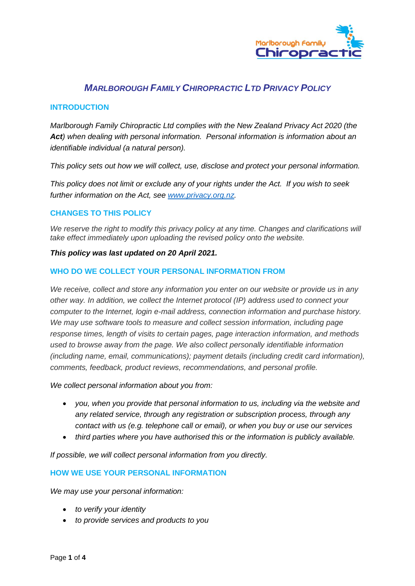

# *MARLBOROUGH FAMILY CHIROPRACTIC LTD PRIVACY POLICY*

## **INTRODUCTION**

*Marlborough Family Chiropractic Ltd complies with the New Zealand Privacy Act 2020 (the Act) when dealing with personal information. Personal information is information about an identifiable individual (a natural person).*

*This policy sets out how we will collect, use, disclose and protect your personal information.*

*This policy does not limit or exclude any of your rights under the Act. If you wish to seek further information on the Act, see [www.privacy.org.nz.](http://www.privacy.org.nz/)*

## **CHANGES TO THIS POLICY**

We reserve the right to modify this privacy policy at any time. Changes and clarifications will *take effect immediately upon uploading the revised policy onto the website.*

#### *This policy was last updated on 20 April 2021.*

#### **WHO DO WE COLLECT YOUR PERSONAL INFORMATION FROM**

*We receive, collect and store any information you enter on our website or provide us in any other way. In addition, we collect the Internet protocol (IP) address used to connect your computer to the Internet, login e-mail address, connection information and purchase history. We may use software tools to measure and collect session information, including page response times, length of visits to certain pages, page interaction information, and methods used to browse away from the page. We also collect personally identifiable information (including name, email, communications); payment details (including credit card information), comments, feedback, product reviews, recommendations, and personal profile.*

*We collect personal information about you from:*

- *you, when you provide that personal information to us, including via the website and any related service, through any registration or subscription process, through any contact with us (e.g. telephone call or email), or when you buy or use our services*
- *third parties where you have authorised this or the information is publicly available.*

*If possible, we will collect personal information from you directly.* 

#### **HOW WE USE YOUR PERSONAL INFORMATION**

*We may use your personal information:* 

- *to verify your identity*
- *to provide services and products to you*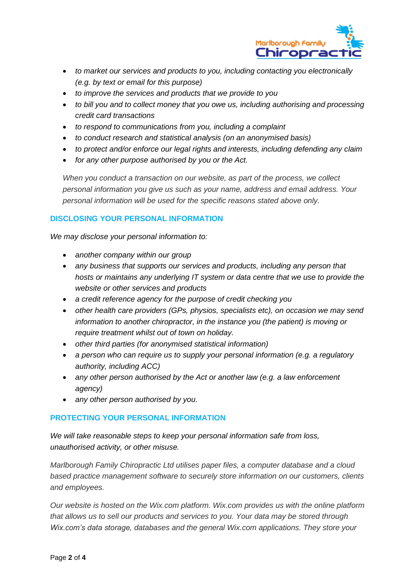

- *to market our services and products to you, including contacting you electronically (e.g. by text or email for this purpose)*
- *to improve the services and products that we provide to you*
- *to bill you and to collect money that you owe us, including authorising and processing credit card transactions*
- *to respond to communications from you, including a complaint*
- *to conduct research and statistical analysis (on an anonymised basis)*
- *to protect and/or enforce our legal rights and interests, including defending any claim*
- *for any other purpose authorised by you or the Act.*

*When you conduct a transaction on our website, as part of the process, we collect personal information you give us such as your name, address and email address. Your personal information will be used for the specific reasons stated above only.*

## **DISCLOSING YOUR PERSONAL INFORMATION**

*We may disclose your personal information to:* 

- *another company within our group*
- *any business that supports our services and products, including any person that hosts or maintains any underlying IT system or data centre that we use to provide the website or other services and products*
- *a credit reference agency for the purpose of credit checking you*
- *other health care providers (GPs, physios, specialists etc), on occasion we may send information to another chiropractor, in the instance you (the patient) is moving or require treatment whilst out of town on holiday.*
- *other third parties (for anonymised statistical information)*
- *a person who can require us to supply your personal information (e.g. a regulatory authority, including ACC)*
- *any other person authorised by the Act or another law (e.g. a law enforcement agency)*
- *any other person authorised by you.*

## **PROTECTING YOUR PERSONAL INFORMATION**

*We will take reasonable steps to keep your personal information safe from loss, unauthorised activity, or other misuse.*

*Marlborough Family Chiropractic Ltd utilises paper files, a computer database and a cloud based practice management software to securely store information on our customers, clients and employees.*

*Our website is hosted on the Wix.com platform. Wix.com provides us with the online platform that allows us to sell our products and services to you. Your data may be stored through Wix.com's data storage, databases and the general Wix.com applications. They store your*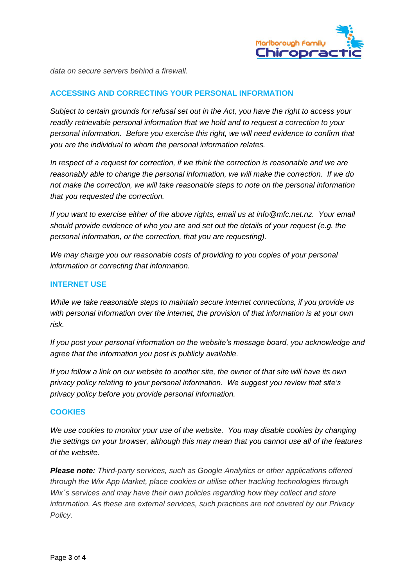

*data on secure servers behind a firewall.*

#### **ACCESSING AND CORRECTING YOUR PERSONAL INFORMATION**

*Subject to certain grounds for refusal set out in the Act, you have the right to access your readily retrievable personal information that we hold and to request a correction to your personal information. Before you exercise this right, we will need evidence to confirm that you are the individual to whom the personal information relates.*

*In respect of a request for correction, if we think the correction is reasonable and we are reasonably able to change the personal information, we will make the correction. If we do not make the correction, we will take reasonable steps to note on the personal information that you requested the correction.*

*If you want to exercise either of the above rights, email us at info@mfc.net.nz. Your email should provide evidence of who you are and set out the details of your request (e.g. the personal information, or the correction, that you are requesting).*

*We may charge you our reasonable costs of providing to you copies of your personal information or correcting that information.*

#### **INTERNET USE**

*While we take reasonable steps to maintain secure internet connections, if you provide us with personal information over the internet, the provision of that information is at your own risk.*

*If you post your personal information on the website's message board, you acknowledge and agree that the information you post is publicly available.*

*If you follow a link on our website to another site, the owner of that site will have its own privacy policy relating to your personal information. We suggest you review that site's privacy policy before you provide personal information.*

#### **COOKIES**

*We use cookies to monitor your use of the website. You may disable cookies by changing the settings on your browser, although this may mean that you cannot use all of the features of the website.* 

*Please note: Third-party services, such as Google Analytics or other applications offered through the Wix App Market, place cookies or utilise other tracking technologies through Wix´s services and may have their own policies regarding how they collect and store information. As these are external services, such practices are not covered by our Privacy Policy.*